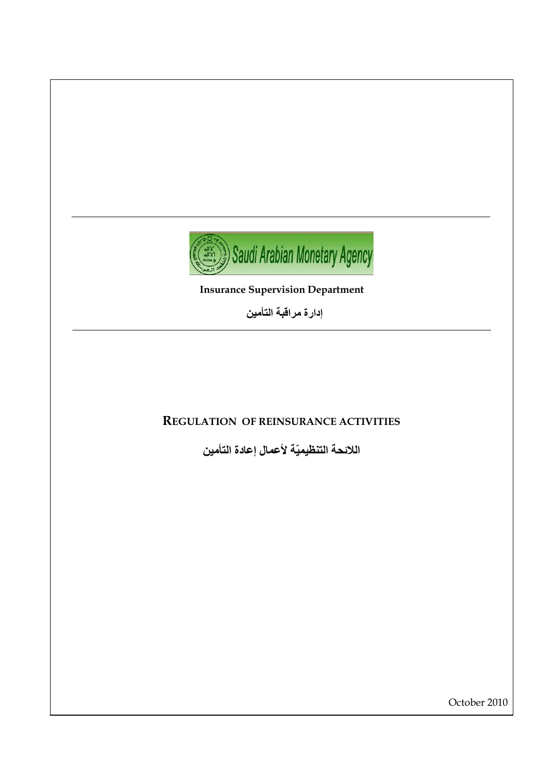

**Insurance Supervision Department** 

إدارة مراقبة التأمين

# **REGULATION OF REINSURANCE ACTIVITIES**

اللائحة التنظيميّة لأعمال إعادة التأمين

October 2010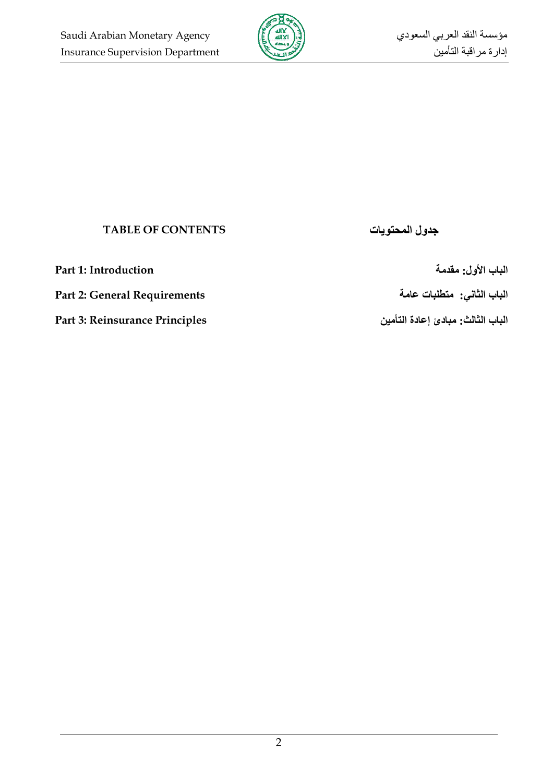

# **TABLE OF CONTENTS**

**ا ب اول: \$ Introduction 1: Part**

**ا ب ا' &:% () ت Requirements General 2: Part**

**ا ب ا' \*: دئ إ دة ا Principles Reinsurance 3: Part**

**جدول المحت**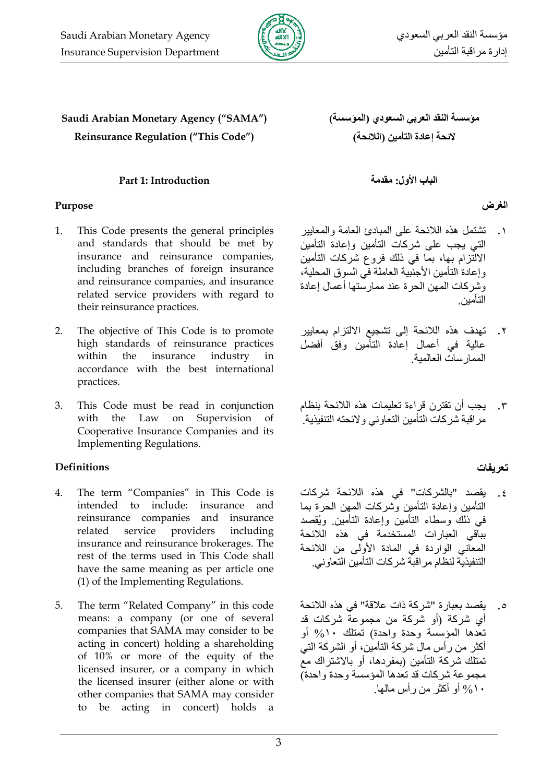

# Saudi Arabian Monetary Agency ("SAMA") **Reinsurance Regulation ("This Code")**

### Part 1: Introduction

#### Purpose

- This Code presents the general principles 1. and standards that should be met by insurance and reinsurance companies, including branches of foreign insurance and reinsurance companies, and insurance related service providers with regard to their reinsurance practices.
- $2.$ The objective of This Code is to promote high standards of reinsurance practices within the insurance industry in accordance with the best international practices.
- This Code must be read in conjunction  $\mathcal{R}$ with the Law on Supervision <sub>of</sub> Cooperative Insurance Companies and its **Implementing Regulations.**

# **Definitions**

- $\overline{4}$ . The term "Companies" in This Code is intended to include: insurance and reinsurance companies and insurance related service providers including insurance and reinsurance brokerages. The rest of the terms used in This Code shall have the same meaning as per article one (1) of the Implementing Regulations.
- The term "Related Company" in this code  $5<sub>1</sub>$ means: a company (or one of several companies that SAMA may consider to be acting in concert) holding a shareholding of 10% or more of the equity of the licensed insurer, or a company in which the licensed insurer (either alone or with other companies that SAMA may consider to be acting in concert) holds a

مؤسسة النقد العربى السعودي (المؤسسة) لائحة إعادة التأمين (اللائحة)

الباب الأول: مقدمة

# الغرض

- ١. نَشْتَمْلُ هذه اللائحة على المبادئ العامة والمعابير التي يجب على شركات التأمين وإعادة التأمين الالتّزام بها، بما في ذلك فروع شركات التأمين وإعادة التأمين الأجنَّبية العاملة في السوق المحلية، وشركات المهن الحرة عند ممارستها أعمال إعادة التأمين
- تهدف هذه اللائحة إلى تشجيع الالتزام بمعايير .<br>عالية في أعمال إعادة التأمين وفق أفضل الممار سات العالمبة
- يجب أن تقترن قراءة تعليمات هذه اللائحة بنظام  $\cdot$   $\mathsf{r}$ مر اقبة شركات التأمين التعاوني ولائحته التنفيذية.

# تعريفات

- يقصد "بالشركات" في هذه اللائحة شركات  $\cdot$   $\epsilon$ التأمين وإعادة التأمين وتشركات المهن الحرة بما في ذلك وسطاء التأمين وإعادة التأمين ويُقصد بباقي العبارات المستخدمة في هذه اللائحة المعاني الواردة في المادة الأولّي من اللائحة التنفيذية لنظام مر اقبة شركات التأمين التعاوني.
- يقصد بعبارة "شركة ذات علاقة" في هذه اللائحة  $\cdot$ . أي شركة (أو شركة من مجموعة شركات قد تعدها المؤسسة وحدة واحدة) تمتلك ١٠% أو أكثر ًمن رأس مال شركة التأمين، أو الشركة التي تمتلك شركة التأمين (بمفردها، أو بالاشتراك معّ مجموعة شركات قد تعدها المؤسسة وحدة واحدة) ۱۰/% أو أكثر من رأس ماليها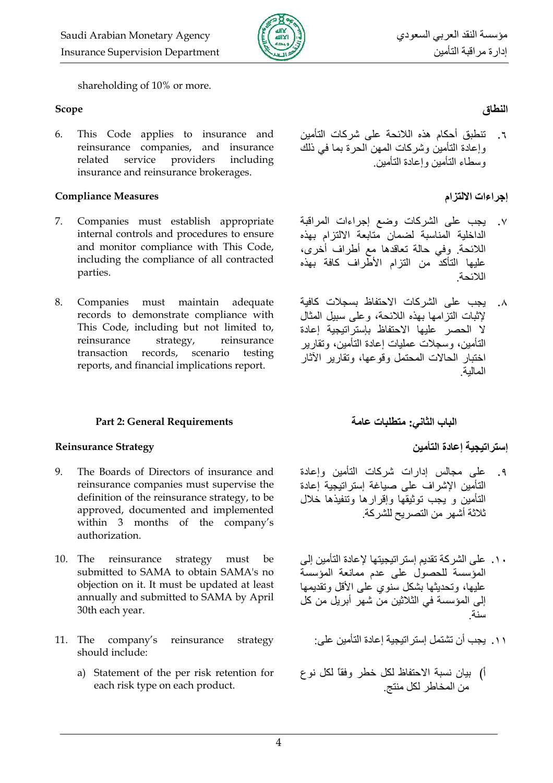

shareholding of 10% or more.

#### Scope

This Code applies to insurance and 6. reinsurance companies, and insurance related service providers including insurance and reinsurance brokerages.

#### **Compliance Measures**

- $7<sub>1</sub>$ Companies must establish appropriate internal controls and procedures to ensure and monitor compliance with This Code, including the compliance of all contracted parties.
- 8. Companies must maintain adequate records to demonstrate compliance with This Code, including but not limited to, reinsurance strategy, reinsurance transaction records, scenario testing reports, and financial implications report.

### **Part 2: General Requirements**

#### **Reinsurance Strategy**

- $9<sub>1</sub>$ The Boards of Directors of insurance and reinsurance companies must supervise the definition of the reinsurance strategy, to be approved, documented and implemented within 3 months of the company's authorization.
- 10. The reinsurance strategy must be submitted to SAMA to obtain SAMA's no objection on it. It must be updated at least annually and submitted to SAMA by April 30th each year.
- 11. The company's reinsurance strategy should include:
	- a) Statement of the per risk retention for each risk type on each product.

# النطاق

٦. تنطبق أحكام هذه اللائحة على شر كات التأمين و إعادة التأمين وشركات المهن الحرة بما في ذلك وسطاء التأمين وإعادة التأمين

## إجراءات الالتزام

- يجب على الشركات وضع إجراءات المراقبة  $\cdot$  .  $\vee$ الداخلية المناسبة لضمان متابعة الالتزام بهذه اللائحة وفي حالة نعاقدها مع أطراف أخرى، عليها التأكد من التزام الأطراف كافة بهذه اللائحة
- يجب على الشركات الاحتفاظ بسجلات كافية  $\Lambda$ لاثبات التز امها بهذه اللائحة، و على سببل المثال لا الحصر عليها الاحتفاظ بإستراتيجية إعادة التأمين، وسجلات عمليات إعادة التأمين، وتقار ير اختبار الحالات المحتمل وقوعها، وتقارير الأثار المالية

# الباب الثاني: متطلبات عامة

# إستر اتيجية إعادة التأمين

- علے مجالس ادار ات شرکات التأمین واعادة  $\cdot$  , 9 التأمين الإشراف على صياغة إستراتيجية إعادة التأمين و يجب توثيقها وإقرارها وتنفيذها خلال ثلاثة أشهر ًمن التصر بح للشر كة ٍ
- . ١. على الشركة تقديم إستر اتيجيتها لإعادة التأمين إلى المؤسسة للحصول على عدم ممانعة المؤسسة عليها، وتحديثها بشكل سنوى على الأقل وتقديمها إلى المؤسسة في الثلاثين من شهر أبريل من كل سنة
	- ١١. يجب أن تشتمل إستر اتيجية إعادة التأمين على:
- أ) بيان نسبة الاحتفاظ لكل خطر وفقاً لكل نوع من المخاطر لكل منتج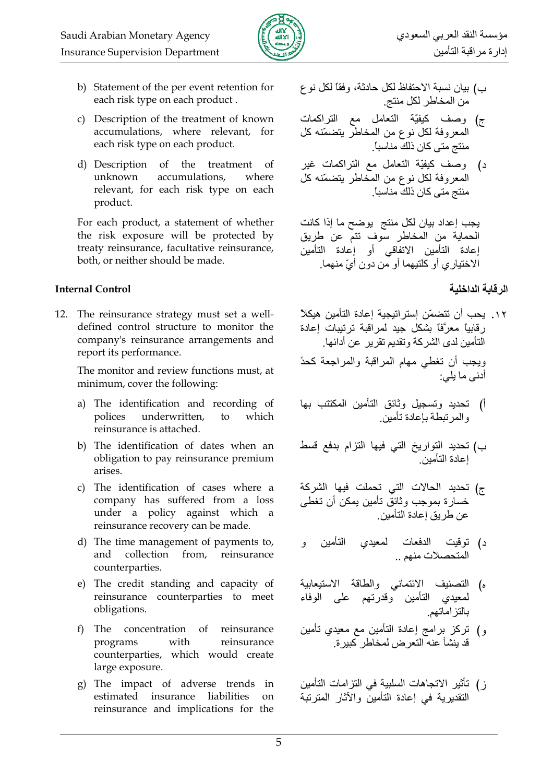

- b) Statement of the per event retention for each risk type on each product.
- c) Description of the treatment of known accumulations, where relevant, for each risk type on each product.
- d) Description of the treatment of unknown accumulations, where relevant, for each risk type on each product.

For each product, a statement of whether the risk exposure will be protected by treaty reinsurance, facultative reinsurance, both, or neither should be made.

#### **Internal Control**

12. The reinsurance strategy must set a welldefined control structure to monitor the company's reinsurance arrangements and report its performance.

> The monitor and review functions must, at minimum, cover the following:

- a) The identification and recording of underwritten, polices  $\mathsf{to}$ which reinsurance is attached.
- b) The identification of dates when an obligation to pay reinsurance premium arises.
- c) The identification of cases where a company has suffered from a loss under a policy against which a reinsurance recovery can be made.
- d) The time management of payments to, and collection from, reinsurance counterparties.
- e) The credit standing and capacity of reinsurance counterparties to meet obligations.
- f) The concentration of reinsurance programs with reinsurance counterparties, which would create large exposure.
- g) The impact of adverse trends in estimated insurance liabilities on reinsurance and implications for the
- ب) بيان نسبة الاحتفاظ لكل حادثة، وفقاً لكل نو ع من المخاطر لكل منتج
- ج) وصف كيفيّة التعامل مع التراكمات المعروفة لكل نوع من المخاطر يتضمّنه كل منتج متى كان ذلك مناسباً.
- د) وصف كيفيّة النعامل مع النراكمات غير المعروفة لكل نوع من المُخاطر يتضمّنه كل منتج متي كان ذلك مناسباً.

يجب إعداد بيان لكل منتج يوضح ما إذا كانت الحماية من المخاطر سوف تتم عن طريق إعادة التأمين الاتفاقي أو إعادة التأمين الاختياري أو كلتيهما أو من دون أيّ منهما.

# الرقابة الداخلية

- ١٢. بحب أن تتضمّن استر اتبجبة اعادة التأمين هبكلاً ر قابباً معرَّفاً بشكل جيد لمراقبة ترتيبات إعادة التأمين لدى الشركة وتقديم تقرير عن أدائها ويجب أن تغطي مهام المراقبة والمراجعة كحدً أدنى ما بلين
- أ) تحديد وتسجيل وثائق التأمين المكتتب بها والمر تبطة بإعادة تأمين
- ب) تحديد التواريخ التي فيها التزام بدفع قسط اعادة التأمين
- ج) تحديد الحالات التي تحملت فيها الشركة خسارة بموجب وثائقٌ نـأمين يمكن أن تـغطـى عن طر يق إعادة التأمين.
- د) توقيت الدفعات لمعيدي التأمين المتحصلات منهم ..
- ه) التصنيف الائتماني والطاقة الاستيعابية لمعيدي التأمين وقدرتهم على الوفاء بالتز اماتهم
- و) تركز برامج إعادة التأمين مع معيدي تأمين قد بنشأ عنه التعر ض لمخاطر كببر ة
- ز ) تأثير الاتجاهات السلبية في التز امات التأمين التقديرية في إعادة التأمين والآثار المترتبة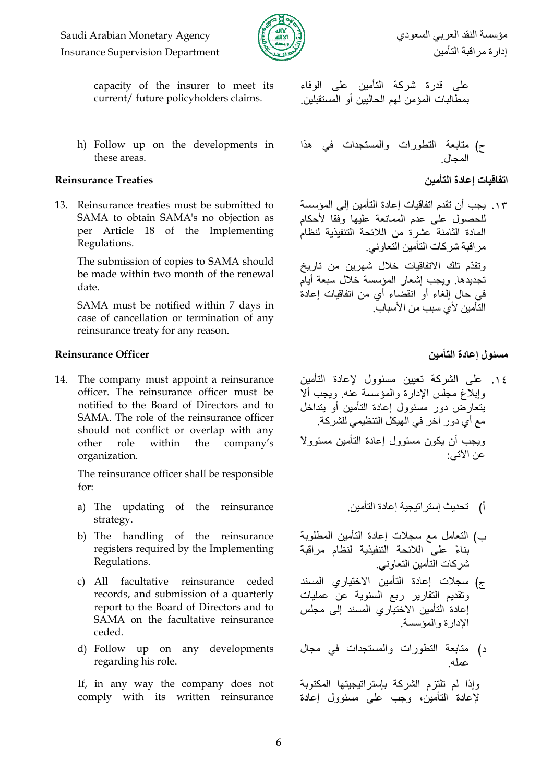

capacity of the insurer to meet its current/ future policyholders claims.

h) Follow up on the developments in these areas.

#### **Reinsurance Treaties**

13. Reinsurance treaties must be submitted to SAMA to obtain SAMA's no objection as per Article 18 of the Implementing Regulations.

The submission of copies to SAMA should be made within two month of the renewal date.

SAMA must be notified within 7 days in case of cancellation or termination of any reinsurance treaty for any reason.

## **Reinsurance Officer**

14. The company must appoint a reinsurance officer. The reinsurance officer must be notified to the Board of Directors and to SAMA. The role of the reinsurance officer should not conflict or overlap with any other role within the company's organization.

The reinsurance officer shall be responsible  $for:$ 

- a) The updating of the reinsurance strategy.
- b) The handling of the reinsurance registers required by the Implementing Regulations.
- c) All facultative reinsurance ceded records, and submission of a quarterly report to the Board of Directors and to SAMA on the facultative reinsurance ceded.
- d) Follow up on any developments regarding his role.

If, in any way the company does not comply with its written reinsurance على قدرة شركة التأمين على الوفاء بمطالبات المؤمن لهم الحاليين أو المستقبلين.

اتفاقيات إعادة التأمين

١٣. يجب أن نقدم اتفاقيات إعادة التأمين إلى المؤسسة للحصول على عدم الممانعة عليها وفقا لأحكام المادة الثامنة عشرة من اللائحة التنفيذية لنظام مر اقبة شركات التأمين التعاوني. وتقدَّم تلك الاتفاقيات خلال شهرين من تاريخ

تجديدها ويجب إشعار المؤسسة خلال سبعة أيآم في حال الغاء أو انقضاء أي من اتفاقيات إعادة التَّأمين لأي سبب من الأسباب.

مسئول إعادة التأمين

١٤. على الشركة تعيين مسئوول لإعادة التأمين وإبلاغ مجلس الإدارة والمؤسسة عنه ويجب ألا بتعارض دور مسئوول إعادة التأمين أو بتداخل مع أي دور آخر في الهيكل التنظيمي للشركة. ويجب أن يكون مسئوول إعادة التأمين مسئوولاً عن الآتي:

- ب) التعامل مع سجلات إعادة التأمين المطلوبة يناءً على اللائحة التنفيذية لنظام مراقبة شر كات التأمين التعاو ني
- ج) سجلات إعادة التأمين الاختياري المسند ونقديم النقارير ربع السنوية عن عمليات إعادة التأمين الاختياري المسند إلى مجلس الإدارة والمؤسسة
- د) منابعة النطورات والمستجدات في مجال<br>عمله

وإذا لم تلتزم الشركة بإستراتيجيتها المكتوبة لإعادة التأمين، وجب على مسئوول إعادة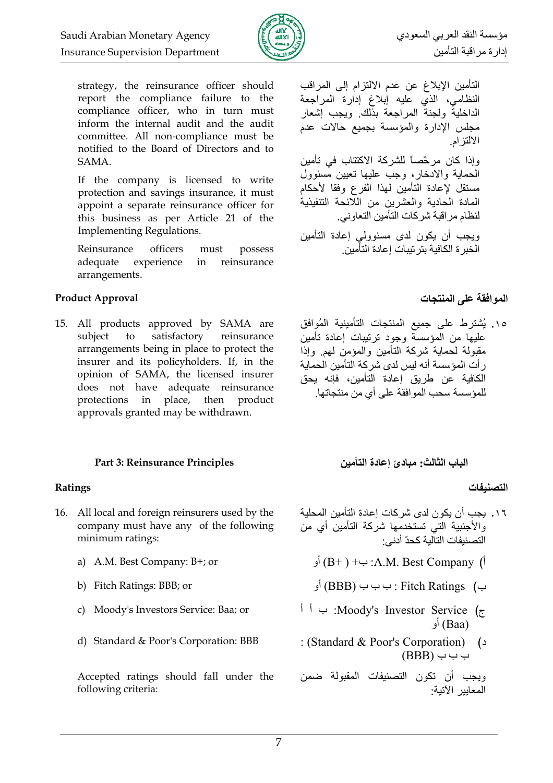

strategy, the reinsurance officer should report the compliance failure to the compliance officer, who in turn must inform the internal audit and the audit committee. All non-compliance must be notified to the Board of Directors and to SAMA.

If the company is licensed to write protection and savings insurance, it must appoint a separate reinsurance officer for this business as per Article 21 of the **Implementing Regulations.** 

Reinsurance officers must possess adequate experience reinsurance in arrangements.

### **Product Approval**

15. All products approved by SAMA are subject to satisfactory reinsurance arrangements being in place to protect the insurer and its policyholders. If, in the opinion of SAMA, the licensed insurer does not have adequate reinsurance protections in place, then product approvals granted may be withdrawn.

### Part 3: Reinsurance Principles

### Ratings

- 16. All local and foreign reinsurers used by the company must have any of the following minimum ratings:
	- a) A.M. Best Company: B+; or
	- b) Fitch Ratings: BBB; or
	- c) Moody's Investors Service: Baa; or
	- d) Standard & Poor's Corporation: BBB

Accepted ratings should fall under the following criteria:

التأمين الإبلاغ عن عدم الالتزام إلى المراقب النظامي، الذي عليه إبلاغ إدارة المراجعة الداخلية ولجنة المراجعة بذلك ويجب إشعار مجلس الإدارة والمؤسسة بجميع حالات عدم الالتز ام وإذا كان مرخّصاً للشركة الاكتتاب في تأمين الحماية والادخار ، وجب عليها تعيين مسئوول مستقل لإعادة التأمين لمهذا الفرع وفقا لأحكام المادة الحادية والعشرين من اللائحة التنفيذية لنظام مراقبة شركات التأمين التعاوني. ويجب أن يكون لدى مسئوولى إعادة التأمين الخبر ة الكافية يتر تبيات اعادة التأمين

# الموافقة على المنتجات

١٥. يُشترط على جميع المنتجات التأمينية المُوافق عليها من المؤسسة وجود ترتيبات إعادة تأمين مقبولة لحماية شركة التأمين والمؤمن لهم وإذا ر أت المؤسسة أنه ليس لدى شركة التأمين الحماية الكافية عن طريق إعادة التأمين، فإنه بحق للمؤسسة سحب المو افقة على أي من منتجاتها.

# الباب الثالث: مبادئ إعادة التأمين

### التصنيفات

- ١٦. يجب أن يكون لدى شركات إعادة التأمين المحلية والأجنبية التي تستخدمها شركة التأمين أي من التصنيفات التآلية كحدّ أدني:
	- أ) A.M. Best Company: ب+ ( B+) أو
	- ب ب (BBB) ب ب ب (BBB) أو
- ج Moody's Investor Service: ب أ أ (Baa) أو
- : (Standard & Poor's Corporation)  $(2)$  $(BBB) \rightarrow \rightarrow$

ويجب أن تكون التصنيفات المقبولة ضمن المعايير الأتية: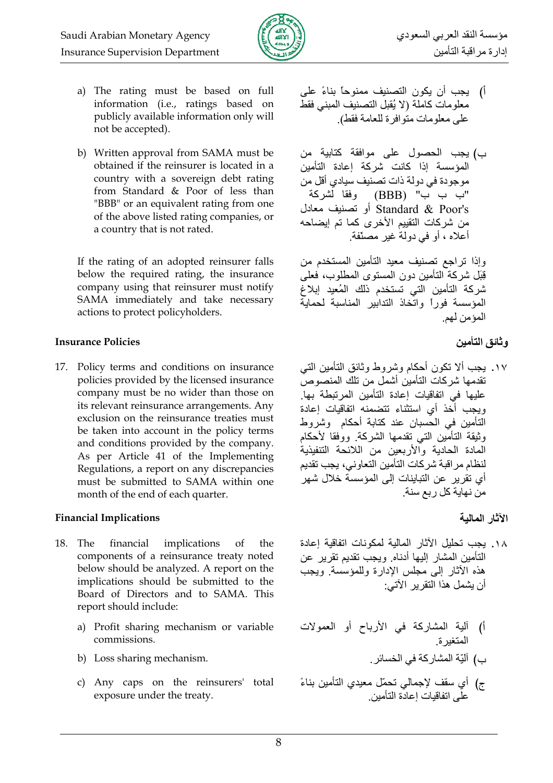

- a) The rating must be based on full information (i.e., ratings based on publicly available information only will not be accepted).
- b) Written approval from SAMA must be obtained if the reinsurer is located in a country with a sovereign debt rating from Standard & Poor of less than "BBB" or an equivalent rating from one of the above listed rating companies, or a country that is not rated.

If the rating of an adopted reinsurer falls below the required rating, the insurance company using that reinsurer must notify SAMA immediately and take necessary actions to protect policyholders.

#### **Insurance Policies**

17. Policy terms and conditions on insurance policies provided by the licensed insurance company must be no wider than those on its relevant reinsurance arrangements. Any exclusion on the reinsurance treaties must be taken into account in the policy terms and conditions provided by the company. As per Article 41 of the Implementing Regulations, a report on any discrepancies must be submitted to SAMA within one month of the end of each quarter.

### **Financial Implications**

- 18. The financial implications <sub>of</sub> the components of a reinsurance treaty noted below should be analyzed. A report on the implications should be submitted to the Board of Directors and to SAMA. This report should include:
	- a) Profit sharing mechanism or variable commissions.
	- b) Loss sharing mechanism.
	- c) Any caps on the reinsurers' total exposure under the treaty.
- أ) يجب أن يكون التصنيف ممنوحاً بناءً على معلومات كاملة (لا يُقبل التصنيف المبنى فقط على معلومات متوافر ة للعامة فقط).
- ب) يجب الحصول على موافقة كتابية من المؤسسة إذا كانت شركة إعادة التأمين موجودة في دولة ذات تصنيف سيادي أقل من "ب ب ب" (BBB) وفقا لشركة Standard & Poor's أو تصنيف معادل من شركات التقييم الأخرى كما تم إيضاحه أعلاه ، أو في دولة غير مصنّفة.

وإذا تراجع تصنيف معيد التأمين المستخدم من قِبَل شركة التأمين دون المستوى المطلوب، فعلى شركة التأمين التي تستخدم ذلك المُعيد إبلاغ المؤسسة فوراً واتخاذ التدابير المناسبة لحماية المؤمن لهم

# و ثائق التأمين

- ١٧. يجب ألا تكون أحكام وشروط وثائق التأمين التي تقدمها شركات التأمين أشمل من تلك المنصوص عليها في اتفاقيات إعادة التأمين المرتبطة بها. ويجب أخذ أى استثناء تتضمنه اتفاقيات إعادة التأمين في الحسبان عند كتابة أحكام وشروط وثيقة التأمين التي تقدمها الشركة. ووفقا لأحكام المادة الحادية والأربعين من اللائحة التنفيذية لنظام مراقبة شركات التأمين التعاوني، يجب تقديم أي تقرير عن التباينات إلى المؤسسة خلال شهر من نهاية كل ربع سنة
	- الآثار المالية
- ١٨. يجب تحليل الآثار المالية لمكونات اتفاقية إعادة التأمين المشار إليها أدناه ويجب تقديم تقرير عن هذه الأثار إلى مجلس الإدارة وللمؤسسة ويجب أن يشمل هذا النقر بر الآتي:
- أ) ألية المشاركة في الأرباح أو العمولات المتغبر ة بِ) آليّة المشارِ كة في الخسائرِ .
	-
- ج) أي سقف لإجمالي تحمّل معيدي التأمين بناءً<br>على اتفاقيات إعادة التأمين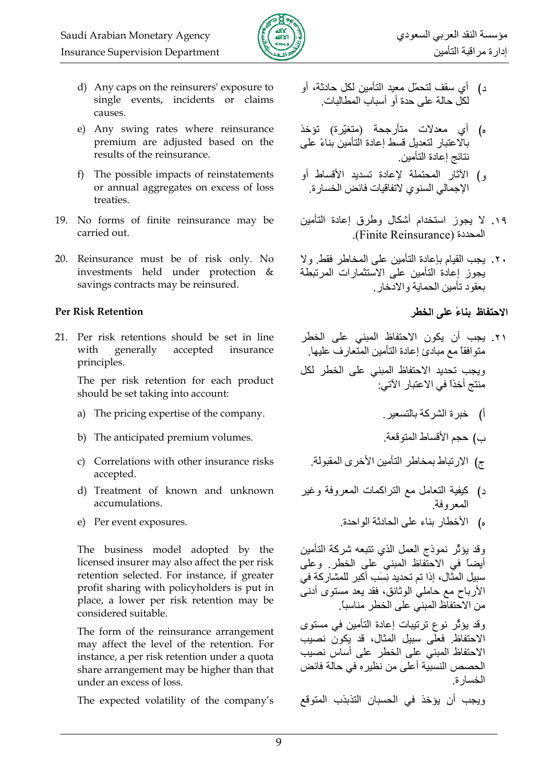

- d) Any caps on the reinsurers' exposure to single events, incidents or claims causes.
- e) Any swing rates where reinsurance premium are adjusted based on the results of the reinsurance.
- f) The possible impacts of reinstatements or annual aggregates on excess of loss treaties.
- 19. No forms of finite reinsurance may be carried out.
- 20. Reinsurance must be of risk only. No investments held under protection & savings contracts may be reinsured.

#### **Per Risk Retention**

21. Per risk retentions should be set in line with generally accepted insurance principles.

The per risk retention for each product should be set taking into account:

- a) The pricing expertise of the company.
- b) The anticipated premium volumes.
- c) Correlations with other insurance risks accepted.
- d) Treatment of known and unknown accumulations.
- e) Per event exposures.

The business model adopted by the licensed insurer may also affect the per risk retention selected. For instance, if greater profit sharing with policyholders is put in place, a lower per risk retention may be considered suitable.

The form of the reinsurance arrangement may affect the level of the retention. For instance, a per risk retention under a quota share arrangement may be higher than that under an excess of loss.

The expected volatility of the company's

- د) أي سقف لتحمّل معيد التأمين لكل حادثة، أو لكل حالة على حدة أو أسباب المطالبات.
- ه) أي معدلات متأرجحة (متغيّرة) تؤخذ بالاعتبار لتعديل قسط إعادة التأمين بناءً على نتائج إعادة التأمين.
- و) الآثار المحتملة لإعادة تسديد الأقساط أو الإجمالي السنوي لاتفاقيات فائض الخسار ة
- ١٩. لا يجوز استخدام أشكال وطرق إعادة التأمين المحددة (Finite Reinsurance).
- ٢٠. يجب القيام بإعادة التأمين على المخاطر فقط ولا يجوز إعادة التأمين على الاستثمارات المرتبطة بعقود تأمين الحماية والادخار

# الاحتفاظ بناءً على الخطر

- ٢١. يجب أن يكون الاحتفاظ المبنى على الخطر متوافقاً مع مبادئ إعادة التأمين المتعارف عليها. ويجب تحديد الاحتفاظ المبني على الخطر لكل منتج أخذاً في الاعتبار الآتي:
	- أ) خبرة الشركة بالتسعير
	- ب) حجم الأقساط المتوقعة
	- ج) الارتباط بمخاطر التأمين الأخرى المقبولة.
- د) كيفية النعامل مع النراكمات المعروفة وغير المعروفة
	- ه) الأخطار بناء على الحادثة الواحدة.

وقد يؤثِّر نموذج العمل الذي نتبعه شركة التأمين أيضاً في الاحتَّفاظ المبنى على الخطر. وعلى سبيل المثال، إذا تم تحديد نِسَب أكبر للمشاركة في الأرباح مع حاملي الوثائق، فقد يعد مستوى أدنـى من الاحتفاظ المبني على الخطر مناسباً.

وقد يؤثِّر نوع ترتيبات إعادة التأمين في مستوى الاحتفاظ فعلَّى سبيل المثال، قد يكون نصيب الاحتفاظ المبنى على الخطر على أساس نصبب الحصص النسبية أعلى من نظيره في حالة فائض الخسار ة

ويجب أن يؤخذ في الحسبان التذبذب المتوقع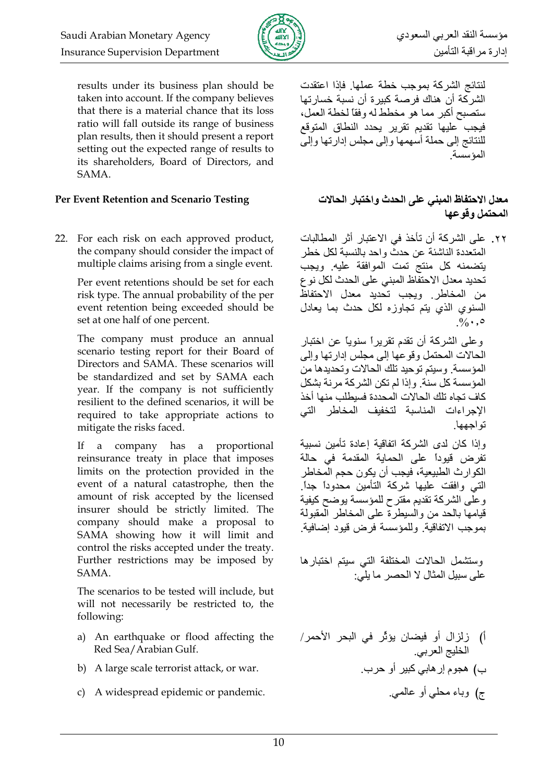

results under its business plan should be taken into account. If the company believes that there is a material chance that its loss ratio will fall outside its range of business plan results, then it should present a report setting out the expected range of results to its shareholders, Board of Directors, and SAMA.

#### Per Event Retention and Scenario Testing

22. For each risk on each approved product, the company should consider the impact of multiple claims arising from a single event.

> Per event retentions should be set for each risk type. The annual probability of the per event retention being exceeded should be set at one half of one percent.

The company must produce an annual scenario testing report for their Board of Directors and SAMA. These scenarios will be standardized and set by SAMA each year. If the company is not sufficiently resilient to the defined scenarios, it will be required to take appropriate actions to mitigate the risks faced.

 $If$ a company has a proportional reinsurance treaty in place that imposes limits on the protection provided in the event of a natural catastrophe, then the amount of risk accepted by the licensed insurer should be strictly limited. The company should make a proposal to SAMA showing how it will limit and control the risks accepted under the treaty. Further restrictions may be imposed by SAMA.

The scenarios to be tested will include, but will not necessarily be restricted to, the following:

- a) An earthquake or flood affecting the Red Sea/Arabian Gulf.
- b) A large scale terrorist attack, or war.
- c) A widespread epidemic or pandemic.

لنتائج الشركة بموجب خطة عملها فإذا اعتقدت الشركة أن هناك فرصة كبيرة أن نسبة خسارتها ستصبح أكبر مما هو مخطط له وفقاً لخطة العمل، فبجب علبها تقدبم تقرير يحدد النطاق المتوقع للنتائج إلى حملة أسهمها وإلى مجلس إدارتها وإلى المؤسسة

## معدل الاحتفاظ المبنى على الحدث واختبار الحالات المحتمل وقوعها

٢٢. على الشركة أن تأخذ في الاعتبار أثر المطالبات المتعددة الناشئة عن حدثٌ و احد بالنسبة لكل خطر يتضمنه كل منتج تمت الموافقة عليه ويجب تحديد معدل الاحتفاظ المبني على الحدث لكل نو ع من المخاطر وبجب تحديد معدل الاحتفاظ السنوى الذى يتم تجاوزه لكل حدث بما يعادل  $0/2$ .  $\circ$ 

وعلى الشركة أن تقدم تقريراً سنوياً عن اختبار الحالات المحتمل وقوعها إلى مجلس إدارتها وإلى المؤسسة. وسيتم توحيد تلك الحالات وتحديدها من المؤسسة كل سنة وإذا لم تكن الشركة مرنة بشكل كاف تجاه تلك الحالات المحددة فسيطلب منها أخذ الإجراءات المناسبة لتخفيف المخاطر التي نو اجهها

وإذا كان لدى الشركة اتفاقية إعادة تأمين نسبية تفرض فيوداً على الحماية المقدمة في حالة الكوار ث الطبيعية، فيجب أن يكون حجم المخاطر التبي وافقت عليها شركة التأمين محدودأ جدأ وعلى الشركة تقديم مقترح للمؤسسة يوضح كيفية قبامها بالحد من والسبطر ة على المخاطر المقبولة بموجب الاتفاقية. وللمؤسسة فرض قيود إضافية.

وستشمل الحالات المختلفة التي سيتم اختبارها على سببل المثال لا الحصر ما بلَّى:

ب**) هجوم إر هابي كبير أو حر**ب<sub>.</sub> ج) وباء محلي أو عالمي.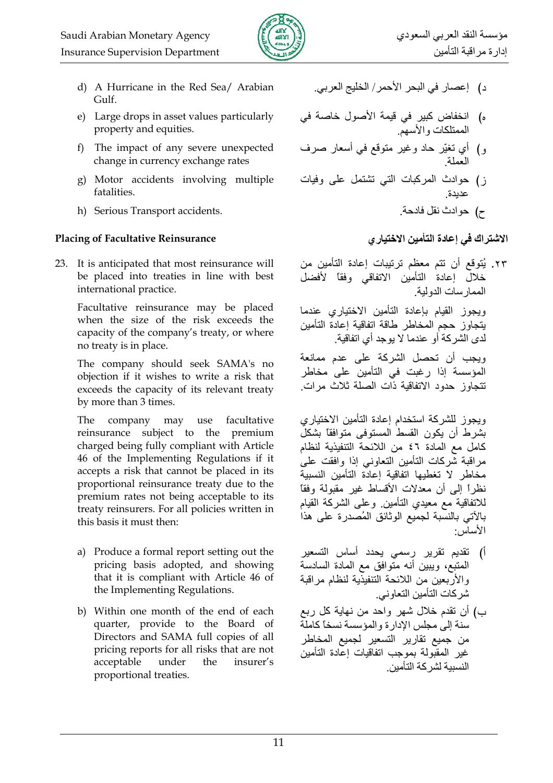

- d) A Hurricane in the Red Sea/ Arabian Gulf.
- e) Large drops in asset values particularly property and equities.
- f) The impact of any severe unexpected change in currency exchange rates
- g) Motor accidents involving multiple fatalities.
- h) Serious Transport accidents.

## **Placing of Facultative Reinsurance**

23. It is anticipated that most reinsurance will be placed into treaties in line with best international practice.

Facultative reinsurance may be placed when the size of the risk exceeds the capacity of the company's treaty, or where no treaty is in place.

The company should seek SAMA's no objection if it wishes to write a risk that exceeds the capacity of its relevant treaty by more than 3 times.

The company may use facultative reinsurance subject to the premium charged being fully compliant with Article 46 of the Implementing Regulations if it accepts a risk that cannot be placed in its proportional reinsurance treaty due to the premium rates not being acceptable to its treaty reinsurers. For all policies written in this basis it must then:

- a) Produce a formal report setting out the pricing basis adopted, and showing that it is compliant with Article 46 of the Implementing Regulations.
- b) Within one month of the end of each quarter, provide to the Board of Directors and SAMA full copies of all pricing reports for all risks that are not acceptable insurer's under the proportional treaties.
- د) إعصار في البحر الأحمر/ الخليج العربي.
- ه) انخفاض كبير في قيمة الأصول خاصة في<br>الممتلكات والأسهم
- و) أي تغيّر حاد وغير متوقع في أسعار صرف
- ز) حوادث المركبات التي تشتمل على وفيات عديدة
	- ح) حوادث نقل فادحة.

# الاشتراك في إعادة التأمين الاختيار ي

٢٣. يُتوقع أن تتم معظم ترتيبات إعادة التأمين من خلال إعادة التأمين الاتفاقى وفقاً لأفضل الممار سات الدو لية

ويجوز القيام بإعادة التأمين الاختياري عندما يتجاوز حجم المخاطر طاقة اتفاقية إعادة التأمين لدي الشر كة أو عندما لا بوجد أي اتفاقية

ويجب أن تحصل الشركة على عدم ممانعة المؤسسة إذا رغبت في التأمين على مخاطر تتجاوز حدود الاتفاقية ذَّات الصلة ثلاث مرات

ويجوز للشركة استخدام إعادة التأمين الاختياري بشرط أن يكون القسط المستوفى متوافقا بشكل كامل مع المادة ٤٦ من اللائحة التنفيذية لنظام مراقبة شركات التأمين التعاوني إذا وافقت على مخاطر لا تغطيها اتفاقية إعادة التأمين النسبية نظراً إلى أن معدلات الأقساط غير مقبولة وفقاً للاتفاقية مع معيدي التأمين وعلى الشركة القيام بالآتي بالنسبة لجميع الوثائق المُصدرة على هذا الأساس:

- أ) نقديم نقرير رسمي يحدد أساس التسعير المتبع، ويبين أنه متوافق مع المادة السادسة والأربعين من اللائحة التنفيذية لنظام مراقبة شركات التأمين التعاوني.
- ب) أن تقدم خلال شهر واحد من نهاية كل ربع سنة إلى مجلس الإدار ة و المؤسسة نسخاً كاملة من جميع تقارير التسعير لجميع المخاطر غير المقبولة بموجب اتفاقيات إعادة التأمين النسيبة لشر كة التأمين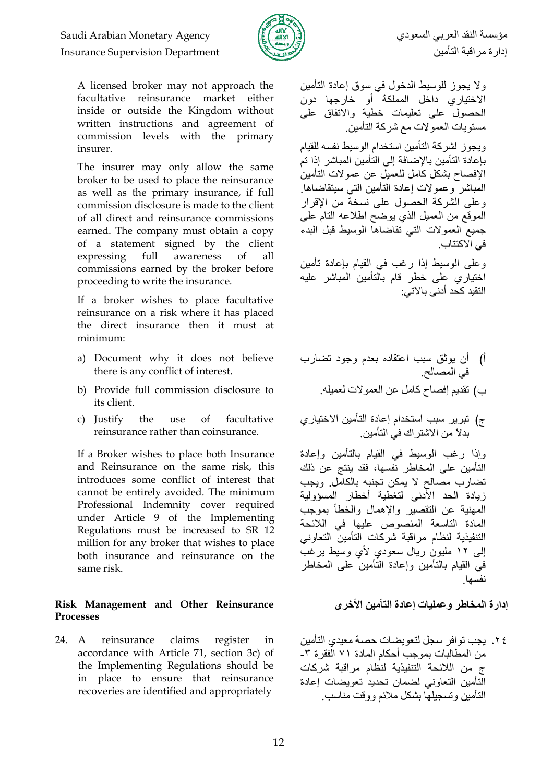

A licensed broker may not approach the facultative reinsurance market either inside or outside the Kingdom without written instructions and agreement of commission levels with the primary insurer.

The insurer may only allow the same broker to be used to place the reinsurance as well as the primary insurance, if full commission disclosure is made to the client of all direct and reinsurance commissions earned. The company must obtain a copy of a statement signed by the client full expressing awareness  $\alpha$ f all commissions earned by the broker before proceeding to write the insurance.

If a broker wishes to place facultative reinsurance on a risk where it has placed the direct insurance then it must at minimum:

- a) Document why it does not believe there is any conflict of interest.
- b) Provide full commission disclosure to its client.
- $\sigma$ f c) Justify the use facultative reinsurance rather than coinsurance.

If a Broker wishes to place both Insurance and Reinsurance on the same risk, this introduces some conflict of interest that cannot be entirely avoided. The minimum Professional Indemnity cover required under Article 9 of the Implementing Regulations must be increased to SR 12 million for any broker that wishes to place both insurance and reinsurance on the same risk.

#### Risk Management and Other Reinsurance **Processes**

24. A reinsurance claims register in accordance with Article 71, section 3c) of the Implementing Regulations should be in place to ensure that reinsurance recoveries are identified and appropriately

ولا يجوز للوسيط الدخول في سوق إعادة التأمين .<br>الاختياري داخل المملكة أو خارجها دون الحصول على تعليمات خطية والاتفاق على مسنو بات العمو لات مع شر كة التأمين

ويجوز لشركة التأمين استخدام الوسيط نفسه للقيام بإعادة التأمين بالإضافة إلى التأمين المباشر إذا تم الإفصاح بشكل كامل للعميل عن عمولات التأمين المباشر وعمولات إعادة التأمين التبى سيتقاضاها وعلى الشركة الحصول على نسخة من الإقرار الموقع من العميل الذي يوضح اطلاعه التام على جميع العمولات التي تقاضاها الوسيط قبل البدء في الاكتتاب

وعلى الوسيط إذا رغب في القيام بإعادة تأمين اختياري على خطر قام بالتأمين المباشر عليه التقيد كحد أدنى بالآتى:

- أ) أن يوثق سبب اعتقاده بعدم وجود تضارب في المصالح ب) تقديم إفصـاح كامل عن العمولات لعميله.
- ج) تبرير سبب استخدام إعادة التأمين الاختياري بدلاً من الاشتر اك في التأمين

وإذا رغب الوسيط في القيام بالتأمين وإعادة التأمين على المخاطر نفسها، فقد ينتج عن ذلك تضارب مصالح لا يمكن تجنبه بالكامل وبجب زبادة الحد الأدنى لتغطبة أخطار المسؤولبة المهنية عن التقصير والإهمال والخطأ بموجب المادة التاسعة المنصوص عليها في اللائحة التنفيذية لنظام مراقبة شركات التأمين التعاوني إلى ١٢ مليون ريال سعودي لأي وسيط يرغب في القيام بالتأمين وإعادة التأمين على المخاطر نفسها

# إدارة المخاطر وعمليات إعادة التأمين الأخرى

٢٤. يجب توافر سجل لتعويضات حصة معيدي التأمين من المطالبات بموجب أحكام المادة ٧١ الفقرة ٣-ج من اللائحة التنفيذية لنظام مراقبة شركات التأمين التعاوني لضمان تحديد تعويضات إعادة التأمين وتسجيلها بشكل ملائم ووقت مناسب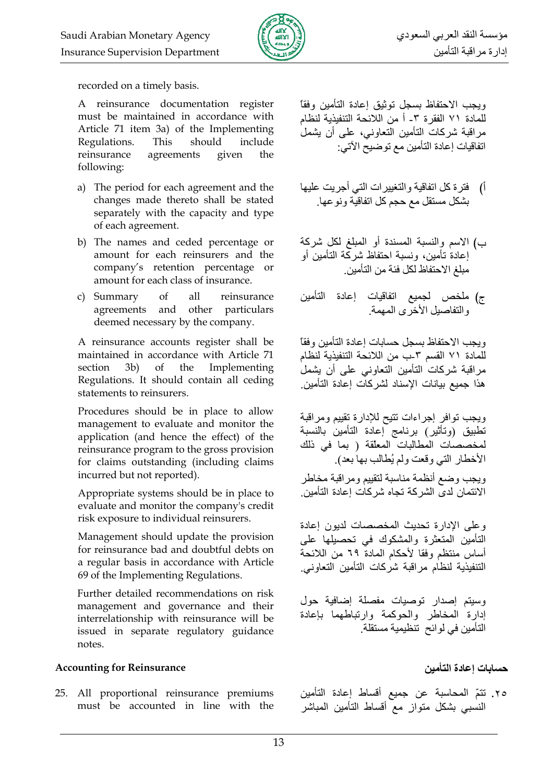

recorded on a timely basis.

A reinsurance documentation register must be maintained in accordance with Article 71 item 3a) of the Implementing Regulations. This should include reinsurance agreements given the following:

- a) The period for each agreement and the changes made thereto shall be stated separately with the capacity and type of each agreement.
- b) The names and ceded percentage or amount for each reinsurers and the company's retention percentage or amount for each class of insurance.
- all c) Summary  $\alpha$ reinsurance agreements and other particulars deemed necessary by the company.

A reinsurance accounts register shall be maintained in accordance with Article 71 section  $3b)$ of the Implementing Regulations. It should contain all ceding statements to reinsurers.

Procedures should be in place to allow management to evaluate and monitor the application (and hence the effect) of the reinsurance program to the gross provision for claims outstanding (including claims incurred but not reported).

Appropriate systems should be in place to evaluate and monitor the company's credit risk exposure to individual reinsurers.

Management should update the provision for reinsurance bad and doubtful debts on a regular basis in accordance with Article 69 of the Implementing Regulations.

Further detailed recommendations on risk management and governance and their interrelationship with reinsurance will be issued in separate regulatory guidance notes.

### **Accounting for Reinsurance**

25. All proportional reinsurance premiums must be accounted in line with the ويجب الاحتفاظ بسجل توثيق إعادة التأمين وفقأ للمادة ٧١ الفقر ة ٣- أ من اللائحة التنفيذية لنظام مر اقبة شركات التأمين التعاوني، على أن يشمل اتفاقيات إعادة التأمين مع توضيح الآتي:

- أ) فترة كل اتفاقية والتغييرات التي أجريت عليها بِشْكل مستقل مع حجم كل اتفاقيَّة و نو عها
- ب) الاسم والنسبة المسندة أو المبلغ لكل شركة إعادة تأمين، ونسبة احتفاظ شركة التأمين أو مبلغ الاحتفاظ لكل فئة من التأمين ِ
- ج) ملخص لجميع اتفاقيات إعادة التأمين والتفاصيل الأخر ي المهمة

وبجب الاحتفاظ بسجل حسابات اعادة التأمين وفقأ للمادة ٧١ القسم ٣-ب من اللائحة التنفيذية لنظام مراقبة شركات التأمين التعاوني على أن يشمل هذا جميع بيانات الإسناد لشر كات إعادة التأمين.

ويجب نوافر إجراءات نتيح للإدارة نقييم ومراقبة تطبيق (وتأثير) برنامج إعادة التأمين بالنسبة لمخصصات المطالبات المعلقة ( بما في ذلك الأخطار التي وقعت ولم يُطالب بها بعد). ويجب وضع أنظمة مناسبة لتقييم ومراقبة مخاطر الائتمان لدى الشركة تجاه شركات إعادة التأمين.

وعلى الإدارة تحديث المخصصات لديون إعادة التأمين المتعثرة والمشكوك في تحصيلها على أساس منتظم وفقا لأحكام المادة ٦٩ من اللائحة التنفيذية لنظام مراقبة شركات التأمين التعاوني

وسيتم إصدار توصيات مفصلة إضافية حول إدارة المخاطر والحوكمة وارتباطهما بإعادة التأمين في لوائح تنظيمية مستقلة.

حسابات اعادة التأمين

٢٥. تتمّ المحاسبة عن جميع أقساط إعادة التأمين<br>النسبي بشكل متواز ٍ مع أقساط التأمين المباشر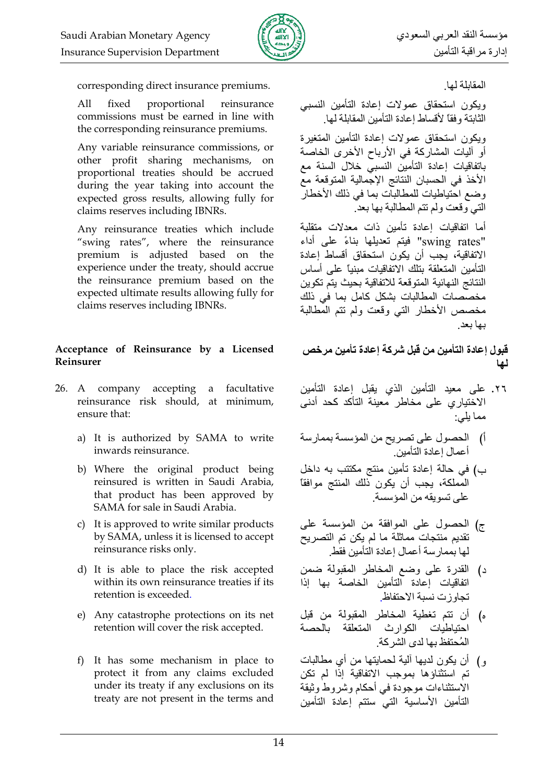

corresponding direct insurance premiums.

All fixed proportional reinsurance commissions must be earned in line with the corresponding reinsurance premiums.

Any variable reinsurance commissions, or other profit sharing mechanisms, on proportional treaties should be accrued during the year taking into account the expected gross results, allowing fully for claims reserves including IBNRs.

Any reinsurance treaties which include "swing rates", where the reinsurance premium is adjusted based on the experience under the treaty, should accrue the reinsurance premium based on the expected ultimate results allowing fully for claims reserves including IBNRs.

### Acceptance of Reinsurance by a Licensed Reinsurer

- 26. A company accepting a facultative reinsurance risk should, at minimum, ensure that:
	- a) It is authorized by SAMA to write inwards reinsurance.
	- b) Where the original product being reinsured is written in Saudi Arabia, that product has been approved by SAMA for sale in Saudi Arabia.
	- c) It is approved to write similar products by SAMA, unless it is licensed to accept reinsurance risks only.
	- d) It is able to place the risk accepted within its own reinsurance treaties if its retention is exceeded.
	- e) Any catastrophe protections on its net retention will cover the risk accepted.
	- f) It has some mechanism in place to protect it from any claims excluded under its treaty if any exclusions on its treaty are not present in the terms and

المقابلة لها

ويكون استحقاق عمولات إعادة التأمين النسبى الثابتة وفقا لأقساط إعادة التأمين المقابلة لها

وبكون استحقاق عمولات إعادة التأمين المتغير ة أو آليات المشاركة في الأرباح الأخرى الخاصة باتفاقيات إعادة التأمين النسبي خلال السنة مع الأخذ في الحسبان النتائج الإجمالية المتوقعة مع وضع احتياطيات للمطالبات بما في ذلك الأخطار التي وقعت ولم نتم المطالبة بها بعد

أما اتفاقيات إعادة تأمين ذات معدلات متقلبة "swing rates" فيتم تعديلها بناءً على أداء الإتفاقية، بجب أن بكون استحقاق أقساط اعادة التأمين المتعلقة بتلك الاتفاقيات مبنياً على أساس النتائج النهائية المتوقعة للاتفاقية بحيث يتم تكوين مخصصات المطالبات بشكل كامل بما في ذلك مخصص الأخطار التبي وقعت ولم تتم المطالبة بها بعد

قبول إعادة التأمين من قبل شركة إعادة تأمين مر خص لما

- ٢٦. على معيد التأمين الذي يقبل إعادة التأمين الاختياري على مخاطر معينة التأكد كحد أدنى مما يلي:
- أ) الحصول على تصريح من المؤسسة بممارسة أعمال اعادة التأمين
- ب) في حالة إعادة تأمين منتج مكتتب به داخل المملكة، يُجب أن يكون ذلك المنتج موافقاً على نسويقه من المؤسسة
- ج) الحصول على الموافقة من المؤسسة على تقديم منتجات مماثلة ما لم يكن تم التصريح لها بممار سة أعمال إعادة التأمين فقط
- د) القدرة على وضع المخاطر المقبولة ضمن اتفاقيات إعادة التأمين الخاصة بها إذا تحاوز ت نسبة الاحتفاظ
- ه) أن تتم تغطية المخاطر المقبولة من قبل احتباطبات الكوارث المتعلقة بالحصة المُحتفظ بها لدى الشركة.
- و ) أن يكون لديها آلية لحمايتها من أي مطالبات تم استثناؤها بموجب الاتفاقية إذا لم تكن الاستثناءات موجودة في أحكام وشر وط وثبقة التأمين الأساسية التى ستتم إعادة التأمين